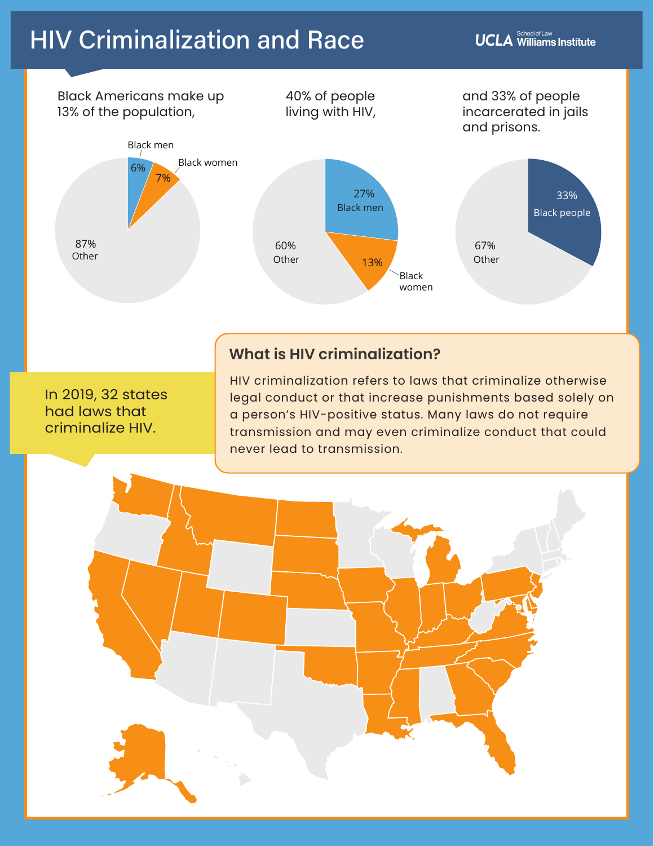$\mathsf{\textbf{UCLA}}$  School of Law Institute



### **What is HIV criminalization?**

In 2019, 32 states had laws that criminalize HIV.

HIV criminalization refers to laws that criminalize otherwise legal conduct or that increase punishments based solely on a person's HIV-positive status. Many laws do not require transmission and may even criminalize conduct that could never lead to transmission.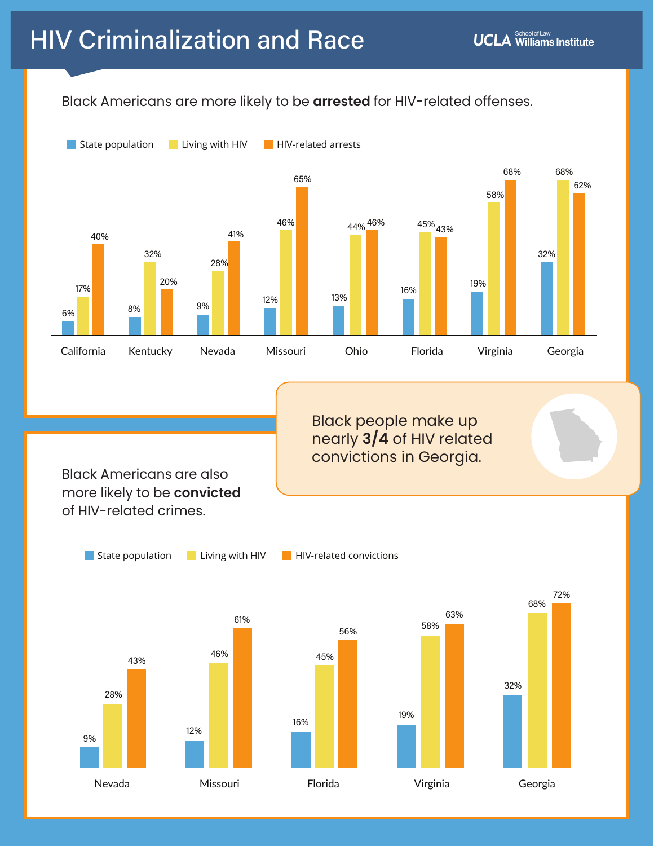#### Black Americans are more likely to be **arrested** for HIV-related offenses.



Black people make up nearly **3/4** of HIV related convictions in Georgia.

Black Americans are also more likely to be **convicted**  of HIV-related crimes.

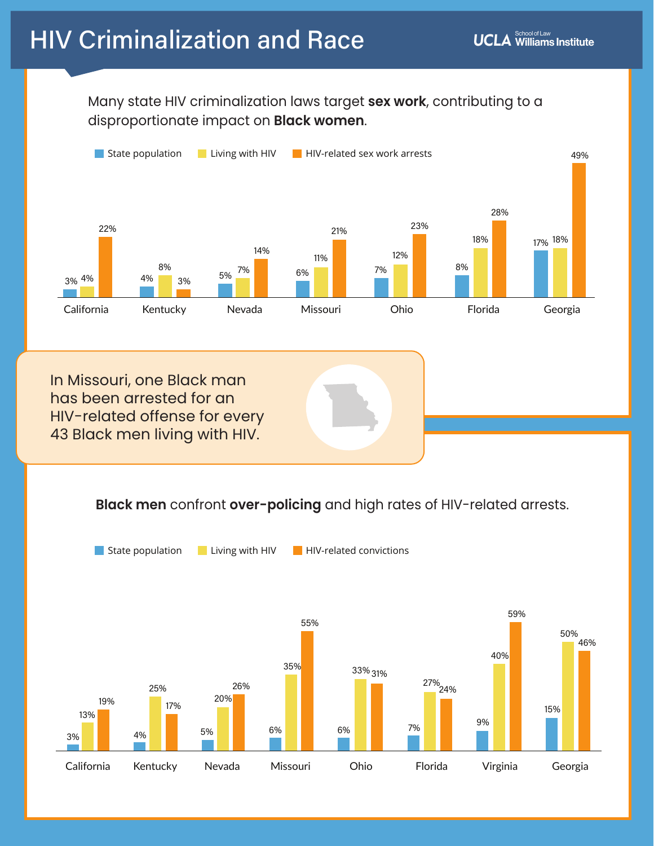### Many state HIV criminalization laws target **sex work**, contributing to a disproportionate impact on **Black women**.



#### **Black men** confront **over-policing** and high rates of HIV-related arrests.